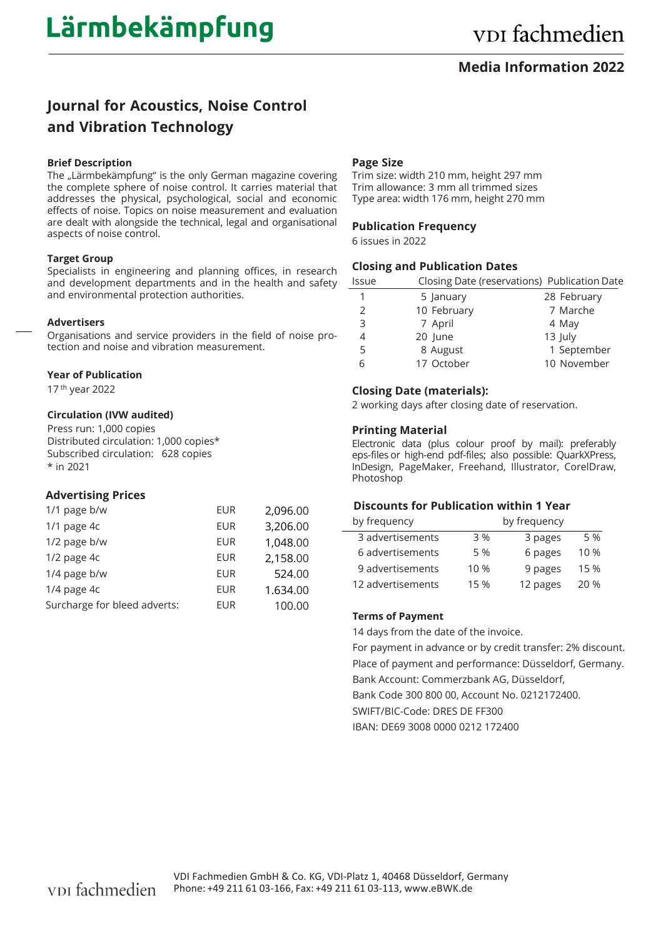### **Media Information 2022**

# **Journal for Acoustics, Noise Control and Vibration Technology**

#### **Brief Description**

The "Lärmbekämpfung" is the only German magazine covering the complete sphere of noise control. It carries material that addresses the physical, psychological, social and economic effects of noise. Topics on noise measurement and evaluation are dealt with alongside the technical, legal and organisational aspects of noise control.

#### **Target Group**

Specialists in engineering and planning offices, in research and development departments and in the health and safety and environmental protection authorities.

#### **Advertisers**

Organisations and service providers in the field of noise protection and noise and vibration measurement.

#### **Year of Publication**

17 th year 2022

#### **Circulation (IVW audited)**

Press run: 1,000 copies Distributed circulation: 1,000 copies\* Subscribed circulation: 628 copies \* in 2021

#### **Advertising Prices**

| 1/1 page b/w                 | <b>EUR</b> | 2,096.00 |
|------------------------------|------------|----------|
| $1/1$ page $4c$              | <b>EUR</b> | 3,206.00 |
| 1/2 page b/w                 | <b>EUR</b> | 1,048.00 |
| $1/2$ page $4c$              | <b>EUR</b> | 2,158.00 |
| 1/4 page b/w                 | <b>EUR</b> | 524.00   |
| 1/4 page 4c                  | <b>EUR</b> | 1.634.00 |
| Surcharge for bleed adverts: | <b>EUR</b> | 100.00   |

#### **Page Size**

Trim size: width 210 mm, height 297 mm Trim allowance: 3 mm all trimmed sizes Type area: width 176 mm, height 270 mm

#### **Publication Frequency**

6 issues in 2022

#### **Closing and Publication Dates**

| Issue |             | Closing Date (reservations) Publication Date |
|-------|-------------|----------------------------------------------|
| 1     | 5 January   | 28 February                                  |
| 2     | 10 February | 7 Marche                                     |
| 3     | 7 April     | 4 May                                        |
| 4     | 20 June     | 13 July                                      |
| 5     | 8 August    | 1 September                                  |
| 6     | 17 October  | 10 November                                  |

#### **Closing Date (materials):**

2 working days after closing date of reservation.

#### **Printing Material**

Electronic data (plus colour proof by mail): preferably eps-files or high-end pdf-files; also possible: QuarkXPress, InDesign, PageMaker, Freehand, Illustrator, CorelDraw, Photoshop

### **Discounts for Publication within 1 Year**

| by frequency      | by frequency |          |      |
|-------------------|--------------|----------|------|
| 3 advertisements  | 3 %          | 3 pages  | 5 %  |
| 6 advertisements  | 5 %          | 6 pages  | 10%  |
| 9 advertisements  | 10 %         | 9 pages  | 15 % |
| 12 advertisements | 15 %         | 12 pages | 20 % |

#### **Terms of Payment**

14 days from the date of the invoice.

For payment in advance or by credit transfer: 2% discount. Place of payment and performance: Düsseldorf, Germany. Bank Account: Commerzbank AG, Düsseldorf, Bank Code 300 800 00, Account No. 0212172400. SWIFT/BIC-Code: DRES DE FF300

IBAN: DE69 3008 0000 0212 172400